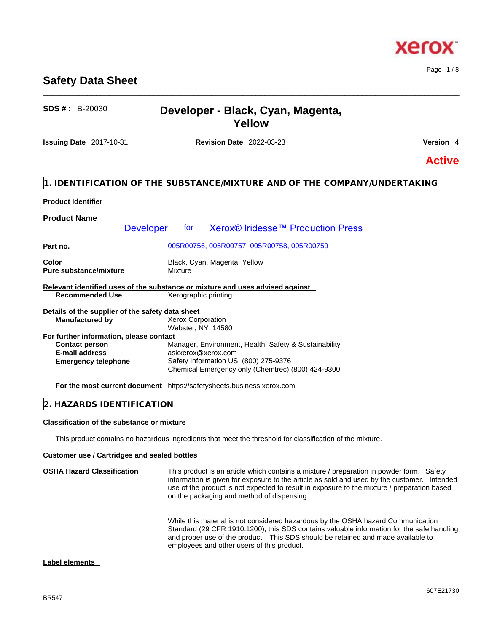#### BR547

# **Safety Data Sheet**

# **SDS # :** B-20030 **Developer - Black, Cyan, Magenta, Yellow**

\_\_\_\_\_\_\_\_\_\_\_\_\_\_\_\_\_\_\_\_\_\_\_\_\_\_\_\_\_\_\_\_\_\_\_\_\_\_\_\_\_\_\_\_\_\_\_\_\_\_\_\_\_\_\_\_\_\_\_\_\_\_\_\_\_\_\_\_\_\_\_\_\_\_\_\_\_\_\_\_\_\_\_\_\_\_\_\_\_\_\_\_\_\_

**Issuing Date** 2017-10-31 **Revision Date** 2022-03-23 **Version** 4

# **Active**

#### **1. IDENTIFICATION OF THE SUBSTANCE/MIXTURE AND OF THE COMPANY/UNDERTAKING**

#### **Product Identifier**

| <b>Product Name</b>                                                               |                  |                                                                                            |  |  |
|-----------------------------------------------------------------------------------|------------------|--------------------------------------------------------------------------------------------|--|--|
|                                                                                   | <b>Developer</b> | for Xerox® Iridesse™ Production Press                                                      |  |  |
| Part no.                                                                          |                  | 005R00756, 005R00757, 005R00758, 005R00759                                                 |  |  |
| Black, Cyan, Magenta, Yellow<br>Color<br>Mixture<br><b>Pure substance/mixture</b> |                  |                                                                                            |  |  |
|                                                                                   |                  | Relevant identified uses of the substance or mixture and uses advised against              |  |  |
| <b>Recommended Use</b>                                                            |                  | Xerographic printing                                                                       |  |  |
| Details of the supplier of the safety data sheet                                  |                  |                                                                                            |  |  |
| <b>Manufactured by</b>                                                            |                  | <b>Xerox Corporation</b><br>Webster, NY 14580                                              |  |  |
| For further information, please contact                                           |                  |                                                                                            |  |  |
| <b>Contact person</b>                                                             |                  | Manager, Environment, Health, Safety & Sustainability                                      |  |  |
| E-mail address                                                                    |                  | askxerox@xerox.com                                                                         |  |  |
| <b>Emergency telephone</b>                                                        |                  | Safety Information US: (800) 275-9376<br>Chemical Emergency only (Chemtrec) (800) 424-9300 |  |  |
|                                                                                   |                  | <b>For the most current document</b> https://safetysheets.business.xerox.com               |  |  |

#### **2. HAZARDS IDENTIFICATION**

#### **Classification of the substance or mixture**

This product contains no hazardous ingredients that meet the threshold for classification of the mixture.

#### **Customer use / Cartridges and sealed bottles**

| <b>OSHA Hazard Classification</b> | This product is an article which contains a mixture / preparation in powder form. Safety<br>information is given for exposure to the article as sold and used by the customer. Intended<br>use of the product is not expected to result in exposure to the mixture / preparation based<br>on the packaging and method of dispensing. |
|-----------------------------------|--------------------------------------------------------------------------------------------------------------------------------------------------------------------------------------------------------------------------------------------------------------------------------------------------------------------------------------|
|                                   | While this material is not considered hazardous by the OSHA hazard Communication<br>Standard (29 CFR 1910.1200), this SDS contains valuable information for the safe handling<br>and proper use of the product. This SDS should be retained and made available to<br>employees and other users of this product.                      |

#### **Label elements**

Page 1 / 8

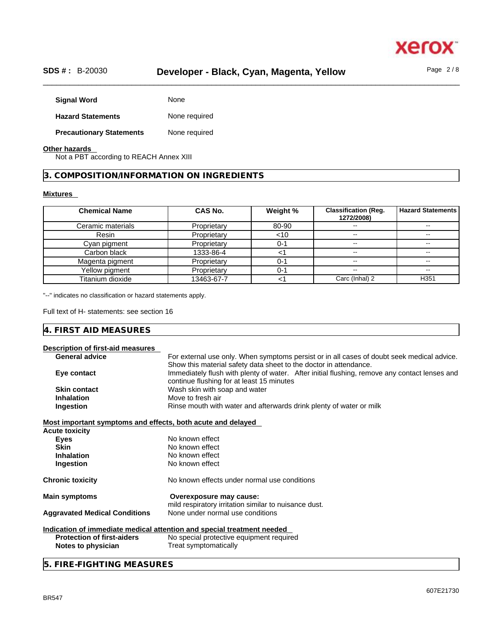

# \_\_\_\_\_\_\_\_\_\_\_\_\_\_\_\_\_\_\_\_\_\_\_\_\_\_\_\_\_\_\_\_\_\_\_\_\_\_\_\_\_\_\_\_\_\_\_\_\_\_\_\_\_\_\_\_\_\_\_\_\_\_\_\_\_\_\_\_\_\_\_\_\_\_\_\_\_\_\_\_\_\_\_\_\_\_\_\_\_\_\_\_\_\_ **SDS # :** B-20030 **Developer - Black, Cyan, Magenta, Yellow** Page 2 / 8

| <b>Signal Word</b>              | None          |
|---------------------------------|---------------|
| <b>Hazard Statements</b>        | None required |
| <b>Precautionary Statements</b> | None required |

#### **Other hazards**

Not a PBT according to REACH Annex XIII

**3. COMPOSITION/INFORMATION ON INGREDIENTS** 

#### **Mixtures**

| <b>Chemical Name</b> | <b>CAS No.</b> | Weight % | <b>Classification (Reg.</b><br>1272/2008) | <b>Hazard Statements</b> |
|----------------------|----------------|----------|-------------------------------------------|--------------------------|
| Ceramic materials    | Proprietary    | 80-90    |                                           |                          |
| Resin                | Proprietary    | $<$ 10   | --                                        |                          |
| Cyan pigment         | Proprietary    | 0-1      | $\overline{\phantom{m}}$                  | $\overline{\phantom{m}}$ |
| Carbon black         | 1333-86-4      |          | $\overline{\phantom{m}}$                  | --                       |
| Magenta pigment      | Proprietary    | $0 - 1$  |                                           |                          |
| Yellow pigment       | Proprietary    | $0 - 1$  | --                                        | --                       |
| Titanium dioxide     | 13463-67-7     |          | Carc (Inhal) 2                            | H <sub>351</sub>         |

"--" indicates no classification or hazard statements apply.

Full text of H- statements: see section 16

#### **4. FIRST AID MEASURES**

| Description of first-aid measures                           |                                                                                               |
|-------------------------------------------------------------|-----------------------------------------------------------------------------------------------|
| <b>General advice</b>                                       | For external use only. When symptoms persist or in all cases of doubt seek medical advice.    |
|                                                             | Show this material safety data sheet to the doctor in attendance.                             |
| Eye contact                                                 | Immediately flush with plenty of water. After initial flushing, remove any contact lenses and |
|                                                             | continue flushing for at least 15 minutes                                                     |
| <b>Skin contact</b>                                         | Wash skin with soap and water                                                                 |
| <b>Inhalation</b>                                           | Move to fresh air                                                                             |
| Ingestion                                                   | Rinse mouth with water and afterwards drink plenty of water or milk                           |
| Most important symptoms and effects, both acute and delayed |                                                                                               |
| <b>Acute toxicity</b>                                       |                                                                                               |
| <b>Eyes</b>                                                 | No known effect                                                                               |
| <b>Skin</b>                                                 | No known effect                                                                               |
| <b>Inhalation</b>                                           | No known effect                                                                               |
| Ingestion                                                   | No known effect                                                                               |
| <b>Chronic toxicity</b>                                     | No known effects under normal use conditions                                                  |
| <b>Main symptoms</b>                                        | Overexposure may cause:                                                                       |
|                                                             | mild respiratory irritation similar to nuisance dust.                                         |
| <b>Aggravated Medical Conditions</b>                        | None under normal use conditions                                                              |
|                                                             | Indication of immediate medical attention and special treatment needed                        |
| <b>Protection of first-aiders</b>                           | No special protective equipment required                                                      |
| Notes to physician                                          | Treat symptomatically                                                                         |

#### **5. FIRE-FIGHTING MEASURES**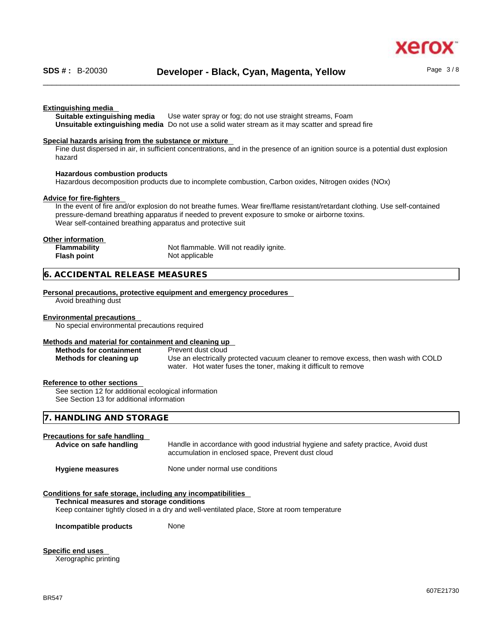xer

#### **Extinguishing media**

**Suitable extinguishing media** Use water spray or fog; do not use straight streams, Foam **Unsuitable extinguishing media** Do not use a solid water stream as it may scatterand spread fire

#### **Special hazards arising from the substance or mixture**

Fine dust dispersed in air, in sufficient concentrations, and in the presence of an ignition source is a potential dust explosion hazard

#### **Hazardous combustion products**

Hazardous decomposition products due to incomplete combustion, Carbon oxides, Nitrogen oxides (NOx)

#### **Advice for fire-fighters**

In the event of fire and/or explosion do not breathe fumes. Wear fire/flame resistant/retardant clothing. Use self-contained pressure-demand breathing apparatus if needed to prevent exposure to smoke or airborne toxins. Wear self-contained breathing apparatus and protective suit

#### **Other information**

| <b>Flammability</b> | Not flammable. Will not readily ignite. |
|---------------------|-----------------------------------------|
| Flash point         | Not applicable                          |

#### **6. ACCIDENTAL RELEASE MEASURES**

#### **Personal precautions, protective equipment and emergency procedures**

Avoid breathing dust

#### **Environmental precautions**

No special environmental precautions required

#### **Methods and material for containment and cleaning up**

#### **Methods for containment** Prevent dust cloud

**Methods for cleaning up** Use an electrically protected vacuum cleaner to remove excess, then wash with COLD water. Hot water fuses the toner, making it difficult to remove

#### **Reference to other sections**

See section 12 for additional ecological information See Section 13 for additional information

#### **7. HANDLING AND STORAGE**

| <b>Precautions for safe handling</b><br>Advice on safe handling | Handle in accordance with good industrial hygiene and safety practice, Avoid dust<br>accumulation in enclosed space, Prevent dust cloud |
|-----------------------------------------------------------------|-----------------------------------------------------------------------------------------------------------------------------------------|
| <b>Hygiene measures</b>                                         | None under normal use conditions                                                                                                        |
| Conditions for safe storage, including any incompatibilities    |                                                                                                                                         |
| Technical measures and storage conditions                       |                                                                                                                                         |
|                                                                 | Keep container tightly closed in a dry and well-ventilated place, Store at room temperature                                             |

**Incompatible products** None

#### **Specific end uses**

Xerographic printing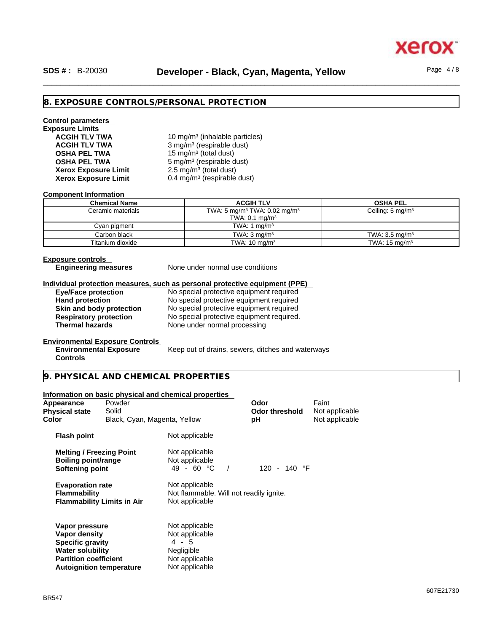

## \_\_\_\_\_\_\_\_\_\_\_\_\_\_\_\_\_\_\_\_\_\_\_\_\_\_\_\_\_\_\_\_\_\_\_\_\_\_\_\_\_\_\_\_\_\_\_\_\_\_\_\_\_\_\_\_\_\_\_\_\_\_\_\_\_\_\_\_\_\_\_\_\_\_\_\_\_\_\_\_\_\_\_\_\_\_\_\_\_\_\_\_\_\_ **SDS # :** B-20030 **Developer - Black, Cyan, Magenta, Yellow** Page 4 / 8

#### **8. EXPOSURE CONTROLS/PERSONAL PROTECTION**

# **Control parameters Exposure Limits Xerox Exposure Limit<br>Xerox Exposure Limit**

**ACGIH TLV TWA** 10 mg/m<sup>3</sup> (inhalable particles) **ACGIH TLV TWA** 3 mg/m<sup>3</sup> (respirable dust) **OSHA PEL TWA** 15 mg/m<sup>3</sup> (total dust) **OSHA PEL TWA** 5 mg/m<sup>3</sup> (respirable dust)  $2.5 \text{ mg/m}^3$  (total dust) **Xerox Exposure Limit** 0.4 mg/m<sup>3</sup> (respirable dust)

#### **Component Information**

| <b>Chemical Name</b> | <b>ACGIH TLV</b>                                                                  | <b>OSHA PEL</b>             |
|----------------------|-----------------------------------------------------------------------------------|-----------------------------|
| Ceramic materials    | TWA: 5 mg/m <sup>3</sup> TWA: 0.02 mg/m <sup>3</sup><br>TWA: $0.1 \text{ mg/m}^3$ | Ceiling: $5 \text{ mg/m}^3$ |
| Cyan pigment         | TWA: 1 $mq/m3$                                                                    |                             |
| Carbon black         | TWA: $3 \text{ mg/m}^3$                                                           | TWA: $3.5 \text{ mg/m}^3$   |
| Titanium dioxide     | TWA: $10 \text{ mg/m}^3$                                                          | TWA: $15 \text{ mg/m}^3$    |

#### **Exposure controls**

**Controls** 

**Engineering measures** None under normal use conditions

#### **Individual protection measures, such as personal protective equipment (PPE)**

| <b>Eye/Face protection</b>    |
|-------------------------------|
| <b>Hand protection</b>        |
| Skin and body protection      |
| <b>Respiratory protection</b> |
| <b>Thermal hazards</b>        |

**Eye/Face protection** No special protective equipment required **Hand protection** No special protective equipment required **Skin and body protection** No special protective equipment required **Respiratory protection** No special protective equipment required. **Thermal hazards** None under normal processing

#### **Environmental Exposure Controls Environmental Exposure**

Keep out of drains, sewers, ditches and waterways

#### **9. PHYSICAL AND CHEMICAL PROPERTIES**

|                                                                                                                                                          |                              | Information on basic physical and chemical properties                                              |                               |                         |  |
|----------------------------------------------------------------------------------------------------------------------------------------------------------|------------------------------|----------------------------------------------------------------------------------------------------|-------------------------------|-------------------------|--|
| Appearance<br><b>Physical state</b>                                                                                                                      | Powder<br>Solid              |                                                                                                    | Odor<br><b>Odor threshold</b> | Faint<br>Not applicable |  |
| Color                                                                                                                                                    | Black, Cyan, Magenta, Yellow |                                                                                                    | рH                            | Not applicable          |  |
| <b>Flash point</b>                                                                                                                                       |                              | Not applicable                                                                                     |                               |                         |  |
| <b>Melting / Freezing Point</b><br>Boiling point/range<br>Softening point                                                                                |                              | Not applicable<br>Not applicable<br>49 - 60 °C                                                     | 120 - 140 $\degree$ F         |                         |  |
| <b>Evaporation rate</b><br><b>Flammability</b><br><b>Flammability Limits in Air</b>                                                                      |                              | Not applicable<br>Not flammable. Will not readily ignite.<br>Not applicable                        |                               |                         |  |
| Vapor pressure<br>Vapor density<br><b>Specific gravity</b><br><b>Water solubility</b><br><b>Partition coefficient</b><br><b>Autoignition temperature</b> |                              | Not applicable<br>Not applicable<br>4 - 5<br><b>Negligible</b><br>Not applicable<br>Not applicable |                               |                         |  |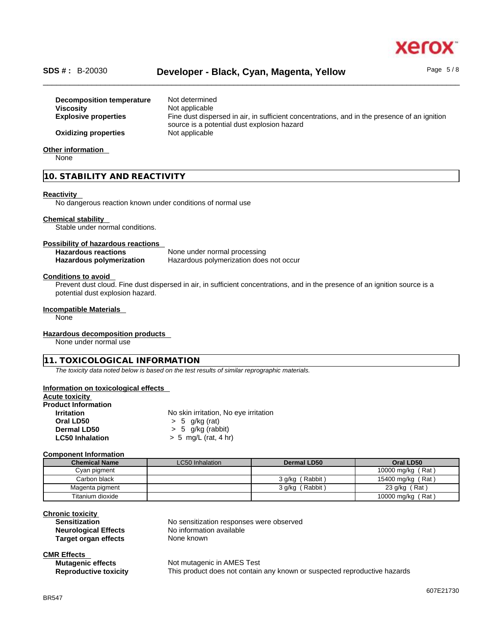

# \_\_\_\_\_\_\_\_\_\_\_\_\_\_\_\_\_\_\_\_\_\_\_\_\_\_\_\_\_\_\_\_\_\_\_\_\_\_\_\_\_\_\_\_\_\_\_\_\_\_\_\_\_\_\_\_\_\_\_\_\_\_\_\_\_\_\_\_\_\_\_\_\_\_\_\_\_\_\_\_\_\_\_\_\_\_\_\_\_\_\_\_\_\_ **SDS # :** B-20030 **Developer - Black, Cyan, Magenta, Yellow** Page 5 / 8

| Decomposition temperature   | Not determined                                                                                                                              |
|-----------------------------|---------------------------------------------------------------------------------------------------------------------------------------------|
| <b>Viscosity</b>            | Not applicable                                                                                                                              |
| <b>Explosive properties</b> | Fine dust dispersed in air, in sufficient concentrations, and in the presence of an ignition<br>source is a potential dust explosion hazard |
| <b>Oxidizing properties</b> | Not applicable                                                                                                                              |
| <b>Other information</b>    |                                                                                                                                             |

None

#### **10. STABILITY AND REACTIVITY**

#### **Reactivity**

No dangerous reaction known under conditions of normal use

#### **Chemical stability**

Stable under normal conditions.

#### **Possibility of hazardous reactions**

| <b>Hazardous reactions</b>      | None under normal processing            |
|---------------------------------|-----------------------------------------|
| <b>Hazardous polymerization</b> | Hazardous polymerization does not occur |

#### **Conditions to avoid**

Prevent dust cloud. Fine dust dispersed in air, in sufficient concentrations, and in the presence of an ignition source is a potential dust explosion hazard.

#### **Incompatible Materials**

None

#### **Hazardous decomposition products**

None under normal use

#### **11. TOXICOLOGICAL INFORMATION**

*The toxicity data noted below is based on the test results of similar reprographic materials.* 

#### **Information on toxicological effects**

| No skin irritation, No eye irritation |  |
|---------------------------------------|--|
| $> 5$ g/kg (rat)                      |  |
| $> 5$ g/kg (rabbit)                   |  |
| $> 5$ mg/L (rat, 4 hr)                |  |
|                                       |  |

#### **Component Information**

| <b>Chemical Name</b> | LC50 Inhalation | Dermal LD50     | Oral LD50         |
|----------------------|-----------------|-----------------|-------------------|
| Cyan pigment         |                 |                 | 10000 mg/kg (Rat) |
| Carbon black         |                 | 3 g/kg (Rabbit) | 15400 mg/kg (Rat) |
| Magenta pigment      |                 | 3 g/kg (Rabbit) | 23 g/kg (Rat)     |
| Titanium dioxide     |                 |                 | 10000 mg/kg (Rat) |

### **Chronic toxicity**

**Target organ effects** None known

**Sensitization** No sensitization responses were observed **Neurological Effects** No information available

#### **CMR Effects Mutagenic effects**

| <b>Mutagenic effects</b>     | Not mutagenic in AMES Test                                                |
|------------------------------|---------------------------------------------------------------------------|
| <b>Reproductive toxicity</b> | This product does not contain any known or suspected reproductive hazards |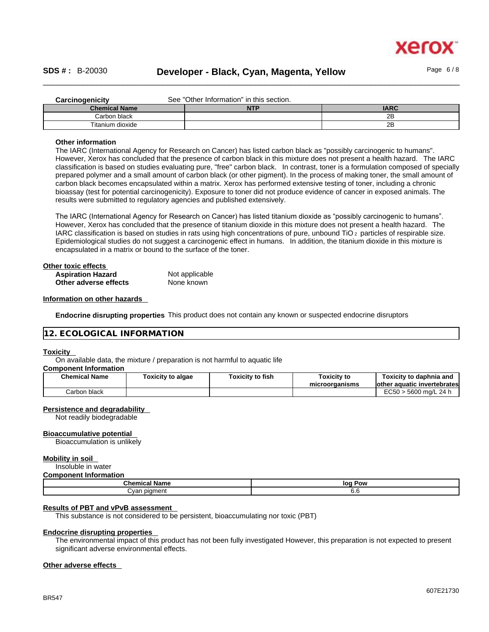

#### \_\_\_\_\_\_\_\_\_\_\_\_\_\_\_\_\_\_\_\_\_\_\_\_\_\_\_\_\_\_\_\_\_\_\_\_\_\_\_\_\_\_\_\_\_\_\_\_\_\_\_\_\_\_\_\_\_\_\_\_\_\_\_\_\_\_\_\_\_\_\_\_\_\_\_\_\_\_\_\_\_\_\_\_\_\_\_\_\_\_\_\_\_\_ **SDS # :** B-20030 **Developer - Black, Cyan, Magenta, Yellow** Page 6 / 8

| Carcinogenicity      | See "Other Information" in this section. |             |  |  |
|----------------------|------------------------------------------|-------------|--|--|
| <b>Chemical Name</b> | <b>NTP</b>                               | <b>IARC</b> |  |  |
| Carbon black         |                                          | 2B          |  |  |
| Titanium dioxide     |                                          | 2Β          |  |  |

#### **Other information**

The IARC (International Agency for Research on Cancer) has listed carbon black as "possibly carcinogenic to humans". However, Xerox has concluded that the presence of carbon black in this mixture does not present a health hazard. The IARC classification is based on studies evaluating pure, "free" carbon black. In contrast, toner is a formulation composed of specially prepared polymer and a small amount of carbon black (or other pigment). In the process of making toner, the small amount of carbon black becomes encapsulated within a matrix. Xerox has performed extensive testing of toner, including a chronic bioassay (test for potential carcinogenicity). Exposure to toner did not produce evidence of cancer in exposed animals. The results were submitted to regulatory agencies and published extensively.

The IARC (International Agency for Research on Cancer) has listed titanium dioxide as "possibly carcinogenic to humans". However, Xerox has concluded that the presence of titanium dioxide in this mixture does not present a health hazard. The IARC classification is based on studies in rats using high concentrations of pure, unbound TiO 2 particles of respirable size. Epidemiological studies do not suggest a carcinogenic effect in humans. In addition, the titanium dioxide in this mixture is encapsulated in a matrix or bound to the surface of the toner.

| Other toxic effects      |                |  |
|--------------------------|----------------|--|
| <b>Aspiration Hazard</b> | Not applicable |  |
| Other adverse effects    | None known     |  |

#### **Information on other hazards**

**Endocrine disrupting properties** This product does not contain any known or suspected endocrine disruptors

#### **12. ECOLOGICAL INFORMATION**

#### **Toxicity**

On available data, the mixture / preparation is not harmful to aquatic life

#### **Component Information**

| <b>Chemical Name</b> | Toxicity to algae | <b>Toxicity to fish</b> | <b>Toxicity to</b><br>microorganisms | Toxicitv to daphnia and<br>lother aquatic invertebrates |
|----------------------|-------------------|-------------------------|--------------------------------------|---------------------------------------------------------|
| Carbon black         |                   |                         |                                      | EC50 > 5600 ma/L 24 h                                   |

#### **Persistence and degradability**

Not readily biodegradable

#### **Bioaccumulative potential**

Bioaccumulation is unlikely

#### **Mobility in soil**

Insoluble in water

#### **Component Information**

| Chemical<br>Name  | loc<br>Pow |  |  |
|-------------------|------------|--|--|
| Cyan pigment<br>. | v.v        |  |  |

#### **Results of PBT and vPvB assessment**

This substance is not considered to be persistent, bioaccumulating nor toxic (PBT)

#### **Endocrine disrupting properties**

The environmental impact of this product has not been fully investigated However, this preparation is not expected to present significant adverse environmental effects.

#### **Other adverse effects**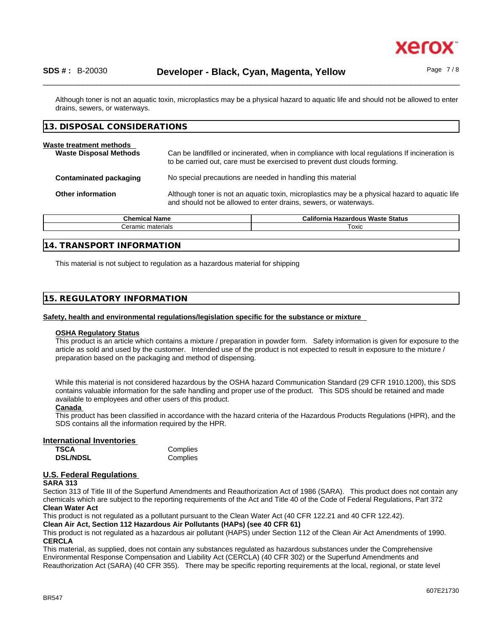

Although toner is not an aquatic toxin, microplastics may be a physical hazard to aquatic life and should not be allowed to enter drains, sewers, or waterways.

#### **13. DISPOSAL CONSIDERATIONS**

| Waste treatment methods<br><b>Waste Disposal Methods</b> | Can be landfilled or incinerated, when in compliance with local regulations If incineration is<br>to be carried out, care must be exercised to prevent dust clouds forming. |
|----------------------------------------------------------|-----------------------------------------------------------------------------------------------------------------------------------------------------------------------------|
| <b>Contaminated packaging</b>                            | No special precautions are needed in handling this material                                                                                                                 |
| <b>Other information</b>                                 | Although toner is not an aquatic toxin, microplastics may be a physical hazard to aquatic life<br>and should not be allowed to enter drains, sewers, or waterways.          |

| Chemical Nam<br>lame | <b>Hazardous Waste Status</b><br>California |  |
|----------------------|---------------------------------------------|--|
| materials<br>`eramıc | Toxic                                       |  |
|                      |                                             |  |
|                      |                                             |  |

#### **14. TRANSPORT INFORMATION**

This material is not subject to regulation as a hazardous material for shipping

#### **15. REGULATORY INFORMATION**

#### **Safety, health and environmental regulations/legislation specific for the substance or mixture**

#### **OSHA Regulatory Status**

This product is an article which contains a mixture / preparation in powder form. Safety information is given for exposure to the article as sold and used by the customer. Intended use of the product is not expected to result in exposure to the mixture / preparation based on the packaging and method of dispensing.

While this material is not considered hazardous by the OSHA hazard Communication Standard (29 CFR 1910.1200), this SDS contains valuable information for the safe handling and proper use of the product. This SDS should be retained and made available to employees and other users of this product.

#### **Canada**

This product has been classified in accordance with the hazard criteria of the Hazardous Products Regulations (HPR), and the SDS contains all the information required by the HPR.

#### **International Inventories**

| TSCA            | Complies |
|-----------------|----------|
| <b>DSL/NDSL</b> | Complies |

#### **U.S. Federal Regulations**

#### **SARA 313**

Section 313 of Title III of the Superfund Amendments and Reauthorization Act of 1986 (SARA). This product does not contain any chemicals which are subject to the reporting requirements of the Act and Title 40 of the Code of Federal Regulations, Part 372 **Clean Water Act**

This product is not regulated as a pollutant pursuant to the Clean Water Act (40 CFR 122.21 and 40 CFR 122.42).

**Clean Air Act,Section 112 Hazardous Air Pollutants (HAPs) (see 40 CFR 61)**

This product is not regulated as a hazardous air pollutant (HAPS) under Section 112 of the Clean Air Act Amendments of 1990. **CERCLA**

This material, as supplied, does not contain any substances regulated as hazardous substances under the Comprehensive Environmental Response Compensation and Liability Act (CERCLA) (40 CFR 302) or the Superfund Amendments and Reauthorization Act (SARA) (40 CFR 355). There may be specific reporting requirements at the local, regional, or state level